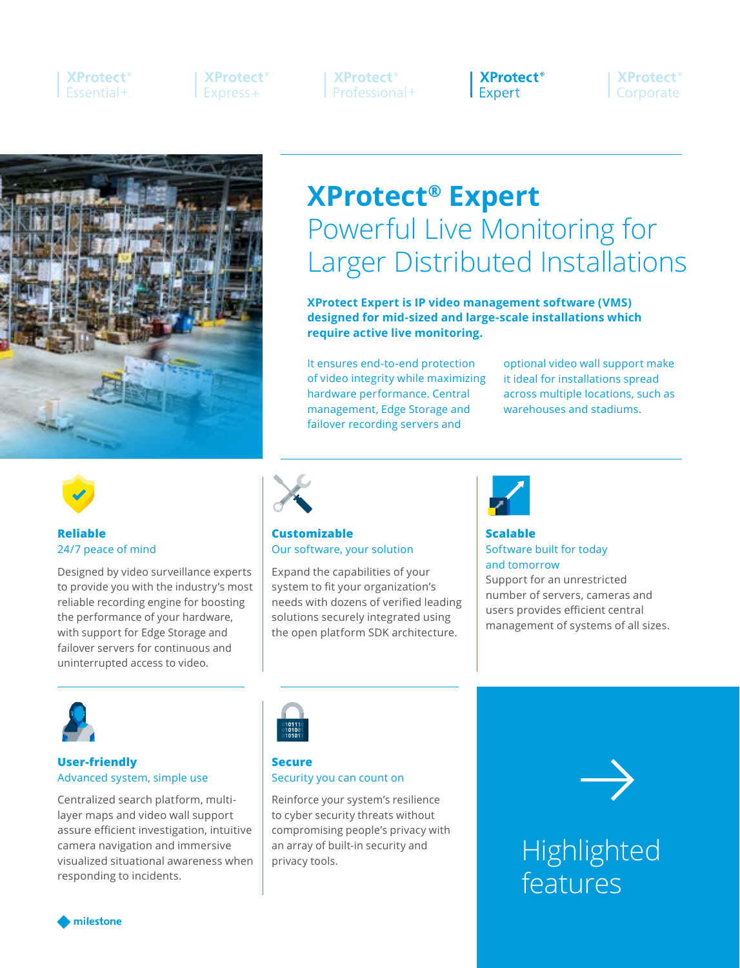# **XProtect**<sup>®</sup> **Fssential+**

**XProtect**<sup>®</sup>  $Express+$ 

**XProtect**<sup>®</sup> Professional+

**XProtect**<sup>®</sup> Expert

**XProtect**<sup>®</sup> Corporate



# **XProtect® Expert** Powerful Live Monitoring for Larger Distributed Installations

**XProtect Expert is IP video management software (VMS) designed for mid-sized and large-scale installations which require active live monitoring.**

It ensures end-to-end protection of video integrity while maximizing hardware performance. Central management, Edge Storage and failover recording servers and

optional video wall support make it ideal for installations spread across multiple locations, such as warehouses and stadiums.



### **Reliable** 24/7 peace of mind

Designed by video surveillance experts to provide you with the industry's most reliable recording engine for boosting the performance of your hardware, with support for Edge Storage and failover servers for continuous and uninterrupted access to video.



#### **Customizable** Our software, your solution

Expand the capabilities of your system to fit your organization's needs with dozens of verified leading solutions securely integrated using the open platform SDK architecture.



# **Scalable** Software built for today and tomorrow

Support for an unrestricted number of servers, cameras and users provides efficient central management of systems of all sizes.



## **User-friendly** Advanced system, simple use

Centralized search platform, multilayer maps and video wall support assure efficient investigation, intuitive camera navigation and immersive visualized situational awareness when responding to incidents.



# **Secure** Security you can count on

Reinforce your system's resilience to cyber security threats without compromising people's privacy with an array of built-in security and privacy tools.



# Highlighted features